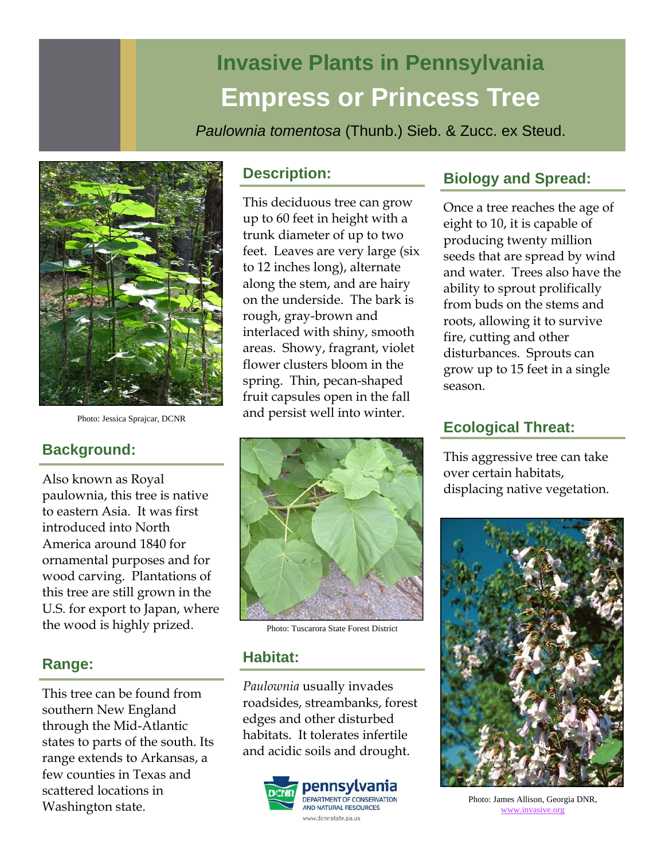# **Invasive Plants in Pennsylvania Empress or Princess Tree**

*Paulownia tomentosa* (Thunb.) Sieb. & Zucc. ex Steud.



Photo: Jessica Sprajcar, DCNR

# **Background:**

Also known as Royal paulownia, this tree is native to eastern Asia. It was first introduced into North America around 1840 for ornamental purposes and for wood carving. Plantations of this tree are still grown in the U.S. for export to Japan, where the wood is highly prized.

# **Range:**

This tree can be found from southern New England through the Mid-Atlantic states to parts of the south. Its range extends to Arkansas, a few counties in Texas and scattered locations in Washington state.

## **Description:**

This deciduous tree can grow up to 60 feet in height with a trunk diameter of up to two feet. Leaves are very large (six to 12 inches long), alternate along the stem, and are hairy on the underside. The bark is rough, gray-brown and interlaced with shiny, smooth areas. Showy, fragrant, violet flower clusters bloom in the spring. Thin, pecan-shaped fruit capsules open in the fall and persist well into winter.



Photo: Tuscarora State Forest District

## **Habitat:**

*Paulownia* usually invades roadsides, streambanks, forest edges and other disturbed habitats. It tolerates infertile and acidic soils and drought.



# **Biology and Spread:**

Once a tree reaches the age of eight to 10, it is capable of producing twenty million seeds that are spread by wind and water. Trees also have the ability to sprout prolifically from buds on the stems and roots, allowing it to survive fire, cutting and other disturbances. Sprouts can grow up to 15 feet in a single season.

## **Ecological Threat:**

This aggressive tree can take over certain habitats, displacing native vegetation.



Photo: James Allison, Georgia DNR, www.invasive.org